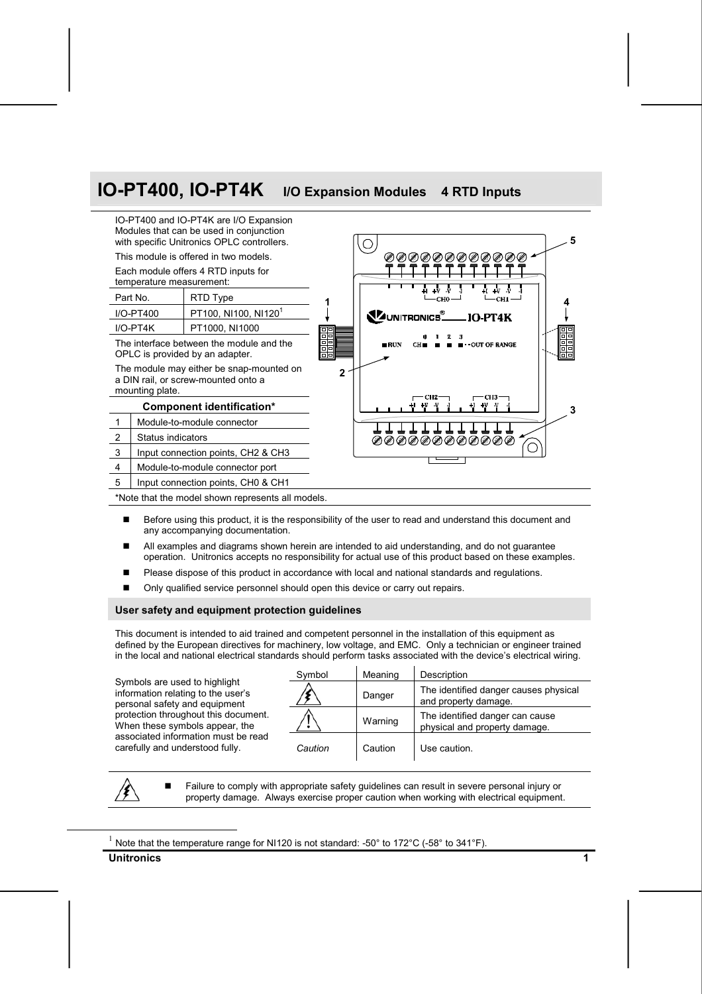# **IO-PT400, IO-PT4K I/O Expansion Modules <sup>4</sup> RTD Inputs**



- Before using this product, it is the responsibility of the user to read and understand this document and any accompanying documentation.
- All examples and diagrams shown herein are intended to aid understanding, and do not guarantee operation. Unitronics accepts no responsibility for actual use of this product based on these examples.
- Please dispose of this product in accordance with local and national standards and regulations.
- Only qualified service personnel should open this device or carry out repairs.

#### **User safety and equipment protection guidelines**

This document is intended to aid trained and competent personnel in the installation of this equipment as defined by the European directives for machinery, low voltage, and EMC. Only a technician or engineer trained in the local and national electrical standards should perform tasks associated with the device's electrical wiring.

Symbols are used to highlight information relating to the user's personal safety and equipment protection throughout this document. When these symbols appear, the associated information must be read carefully and understood fully.

| Symbol  | Meaning | Description                                                      |
|---------|---------|------------------------------------------------------------------|
|         | Danger  | The identified danger causes physical<br>and property damage.    |
|         | Warning | The identified danger can cause<br>physical and property damage. |
| Caution | Caution | Use caution.                                                     |

 Failure to comply with appropriate safety guidelines can result in severe personal injury or property damage. Always exercise proper caution when working with electrical equipment.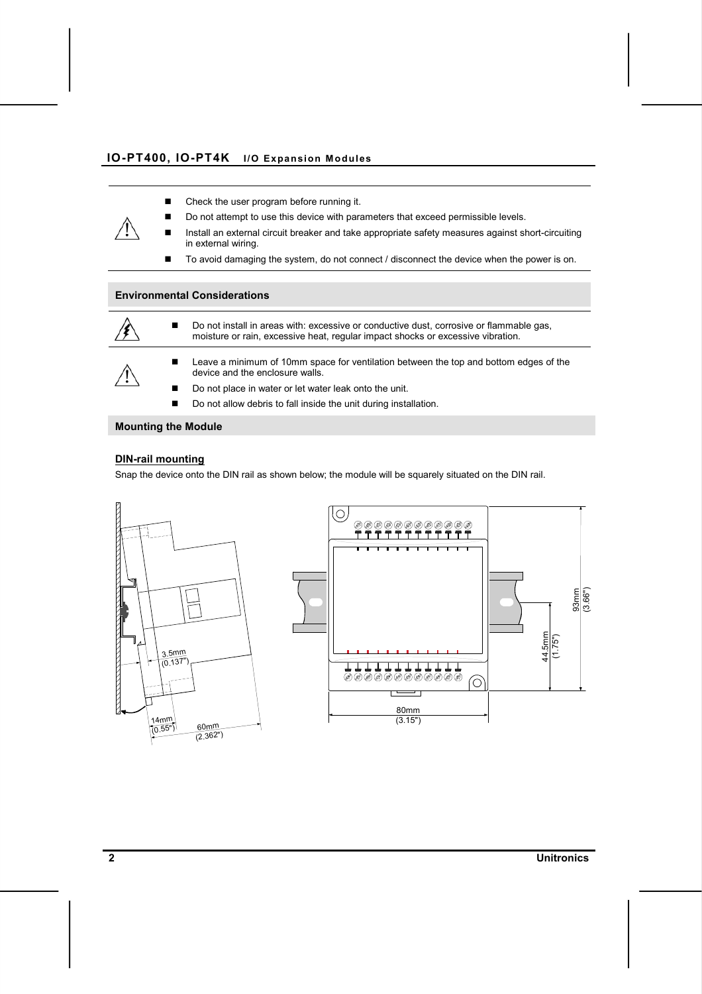- Check the user program before running it.
- Do not attempt to use this device with parameters that exceed permissible levels.
- Install an external circuit breaker and take appropriate safety measures against short-circuiting in external wiring.
- To avoid damaging the system, do not connect / disconnect the device when the power is on.

#### **Environmental Considerations**



■ Do not install in areas with: excessive or conductive dust, corrosive or flammable gas, moisture or rain, excessive heat, regular impact shocks or excessive vibration.

**EXECT** Leave a minimum of 10mm space for ventilation between the top and bottom edges of the device and the enclosure walls.

- Do not place in water or let water leak onto the unit.
- Do not allow debris to fall inside the unit during installation.

#### **Mounting the Module**

#### **DIN-rail mounting**

Snap the device onto the DIN rail as shown below; the module will be squarely situated on the DIN rail.



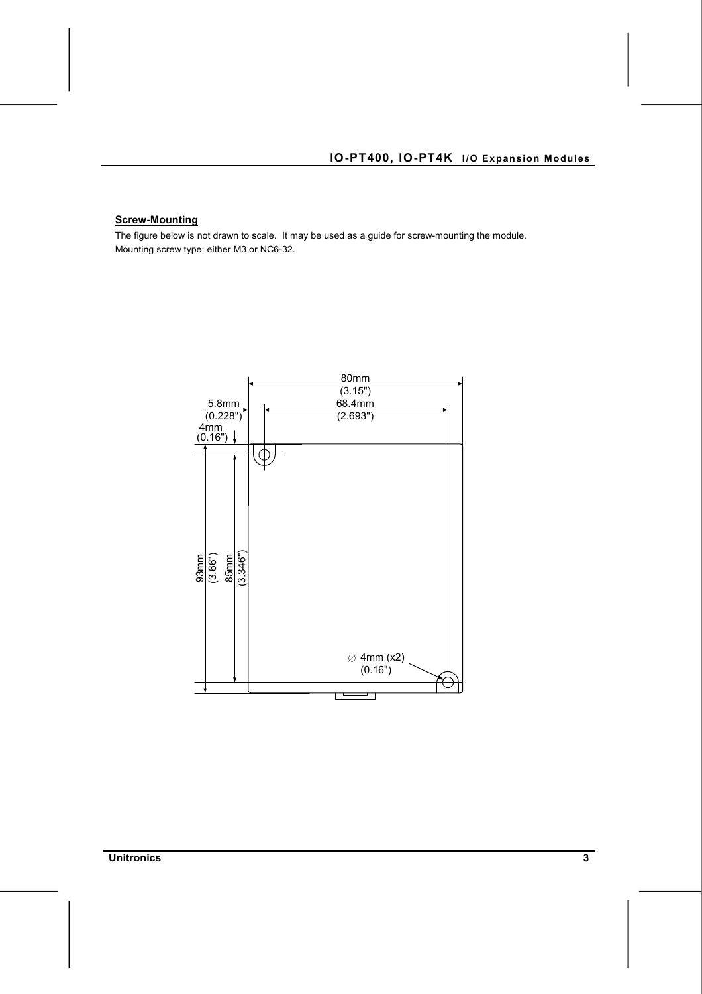#### **Screw-Mounting**

The figure below is not drawn to scale. It may be used as a guide for screw-mounting the module. Mounting screw type: either M3 or NC6-32.



**Unitronics 3**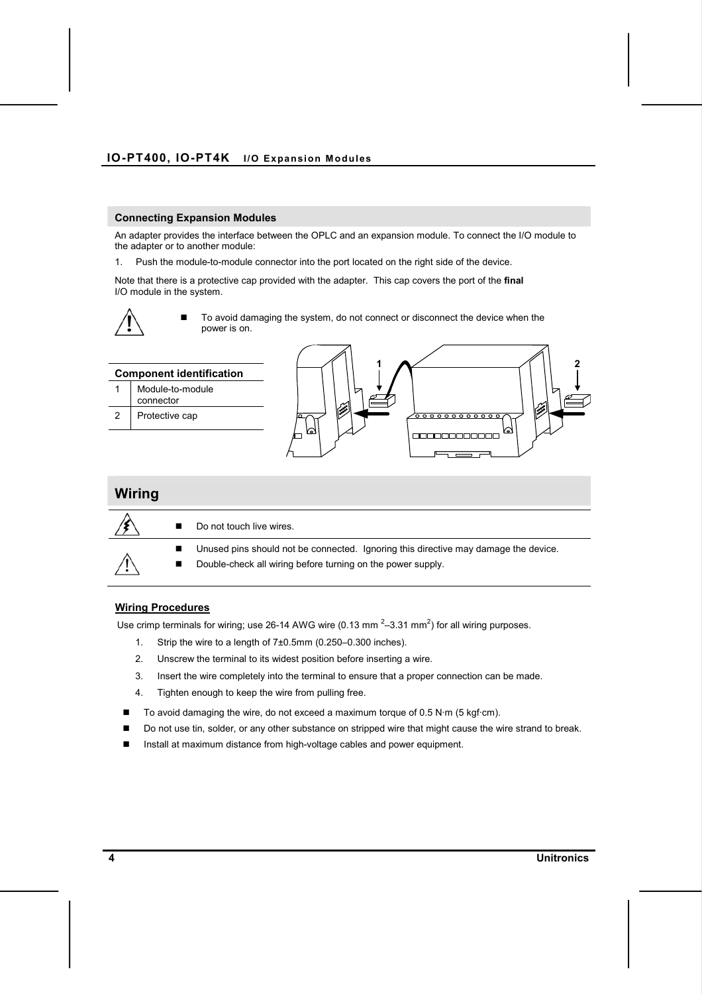#### **Connecting Expansion Modules**

An adapter provides the interface between the OPLC and an expansion module. To connect the I/O module to the adapter or to another module:

1. Push the module-to-module connector into the port located on the right side of the device.

Note that there is a protective cap provided with the adapter. This cap covers the port of the **final**  I/O module in the system.



 To avoid damaging the system, do not connect or disconnect the device when the power is on.





#### **Wiring Procedures**

Use crimp terminals for wiring; use 26-14 AWG wire (0.13 mm<sup>2</sup>-3.31 mm<sup>2</sup>) for all wiring purposes.

- 1. Strip the wire to a length of 7±0.5mm (0.250–0.300 inches).
- 2. Unscrew the terminal to its widest position before inserting a wire.
- 3. Insert the wire completely into the terminal to ensure that a proper connection can be made.
- 4. Tighten enough to keep the wire from pulling free.
- $\blacksquare$  To avoid damaging the wire, do not exceed a maximum torque of 0.5 N·m (5 kgf·cm).
- Do not use tin, solder, or any other substance on stripped wire that might cause the wire strand to break.
- Install at maximum distance from high-voltage cables and power equipment.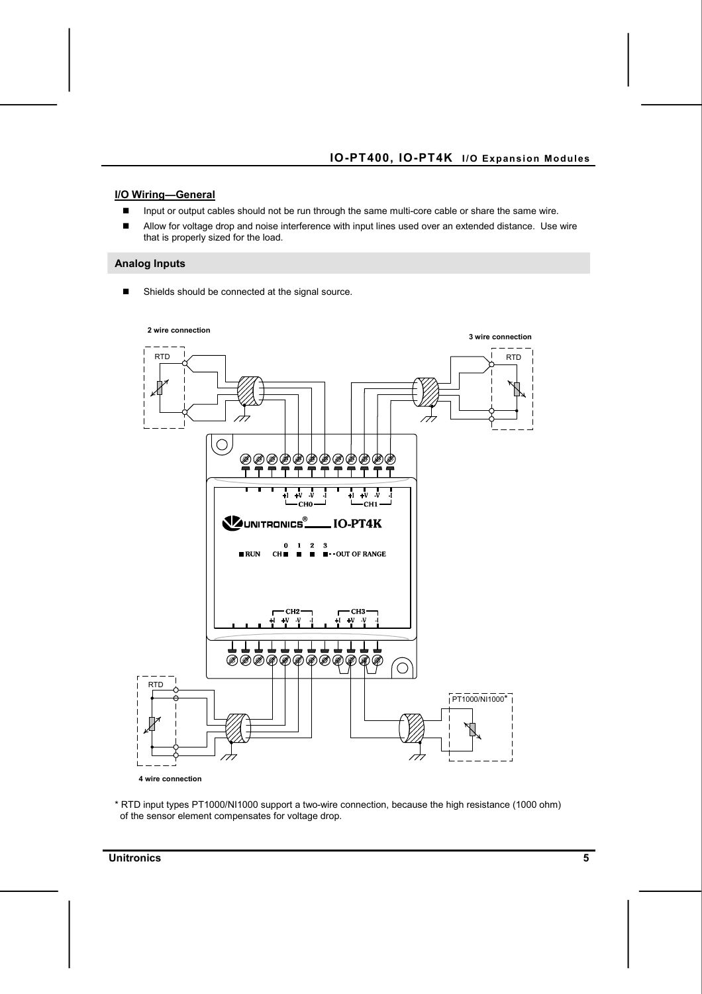#### **I/O Wiring—General**

- **Input or output cables should not be run through the same multi-core cable or share the same wire.**
- Allow for voltage drop and noise interference with input lines used over an extended distance. Use wire that is properly sized for the load.

#### **Analog Inputs**

■ Shields should be connected at the signal source.



\* RTD input types PT1000/NI1000 support a two-wire connection, because the high resistance (1000 ohm) of the sensor element compensates for voltage drop.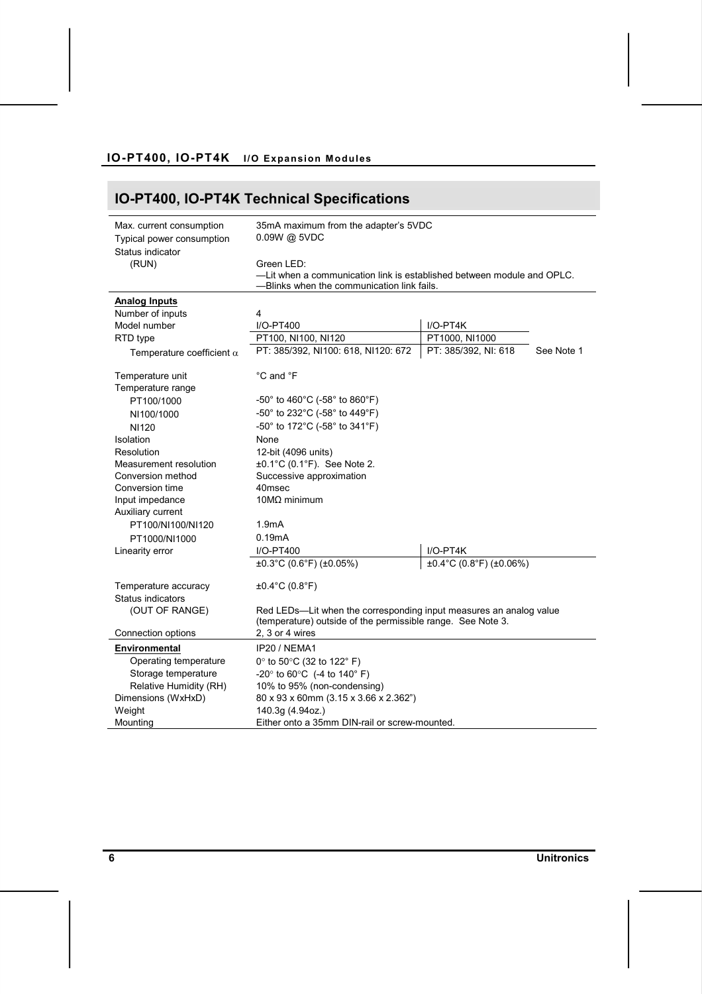# **IO-PT400, IO-PT4K Technical Specifications**

| Max. current consumption<br>Typical power consumption<br>Status indicator | 35mA maximum from the adapter's 5VDC<br>0.09W @ 5VDC                                                                               |                         |            |  |
|---------------------------------------------------------------------------|------------------------------------------------------------------------------------------------------------------------------------|-------------------------|------------|--|
| (RUN)                                                                     | Green LED:<br>-Lit when a communication link is established between module and OPLC.<br>-Blinks when the communication link fails. |                         |            |  |
| <b>Analog Inputs</b>                                                      |                                                                                                                                    |                         |            |  |
| Number of inputs                                                          | 4                                                                                                                                  |                         |            |  |
| Model number                                                              | I/O-PT400                                                                                                                          | $I/O-PT4K$              |            |  |
| RTD type                                                                  | PT100, NI100, NI120                                                                                                                | PT1000, NI1000          |            |  |
| Temperature coefficient $\alpha$                                          | PT: 385/392, NI100: 618, NI120: 672                                                                                                | PT: 385/392, NI: 618    | See Note 1 |  |
| Temperature unit                                                          | °C and °F                                                                                                                          |                         |            |  |
| Temperature range                                                         |                                                                                                                                    |                         |            |  |
| PT100/1000                                                                | $-50^{\circ}$ to 460 $^{\circ}$ C (-58 $^{\circ}$ to 860 $^{\circ}$ F)                                                             |                         |            |  |
| NI100/1000                                                                | -50° to 232°C (-58° to 449°F)                                                                                                      |                         |            |  |
| <b>NI120</b>                                                              | -50° to 172°C (-58° to 341°F)                                                                                                      |                         |            |  |
| Isolation                                                                 | None                                                                                                                               |                         |            |  |
| Resolution                                                                | 12-bit (4096 units)                                                                                                                |                         |            |  |
| Measurement resolution                                                    | $\pm 0.1^{\circ}$ C (0.1 $^{\circ}$ F). See Note 2.                                                                                |                         |            |  |
| Conversion method                                                         | Successive approximation                                                                                                           |                         |            |  |
| Conversion time                                                           | 40msec                                                                                                                             |                         |            |  |
| Input impedance                                                           | $10MΩ$ minimum                                                                                                                     |                         |            |  |
| Auxiliary current                                                         |                                                                                                                                    |                         |            |  |
| PT100/NI100/NI120                                                         | 1.9mA                                                                                                                              |                         |            |  |
| PT1000/NI1000                                                             | 0.19mA                                                                                                                             |                         |            |  |
| Linearity error                                                           | I/O-PT400                                                                                                                          | $I/O-PT4K$              |            |  |
|                                                                           | ±0.3°C (0.6°F) (±0.05%)                                                                                                            | ±0.4°C (0.8°F) (±0.06%) |            |  |
| Temperature accuracy                                                      | $±0.4$ °C (0.8°F)                                                                                                                  |                         |            |  |
| Status indicators                                                         |                                                                                                                                    |                         |            |  |
| (OUT OF RANGE)                                                            | Red LEDs-Lit when the corresponding input measures an analog value                                                                 |                         |            |  |
|                                                                           | (temperature) outside of the permissible range. See Note 3.                                                                        |                         |            |  |
| Connection options                                                        | 2. 3 or 4 wires                                                                                                                    |                         |            |  |
| Environmental                                                             | IP20 / NEMA1                                                                                                                       |                         |            |  |
| Operating temperature                                                     | 0 $\degree$ to 50 $\degree$ C (32 to 122 $\degree$ F)                                                                              |                         |            |  |
| Storage temperature                                                       | -20° to 60°C (-4 to 140° F)                                                                                                        |                         |            |  |
| Relative Humidity (RH)                                                    | 10% to 95% (non-condensing)                                                                                                        |                         |            |  |
| Dimensions (WxHxD)                                                        | 80 x 93 x 60mm (3.15 x 3.66 x 2.362")                                                                                              |                         |            |  |
| Weight                                                                    | 140.3g (4.94oz.)                                                                                                                   |                         |            |  |
| Mounting                                                                  | Either onto a 35mm DIN-rail or screw-mounted.                                                                                      |                         |            |  |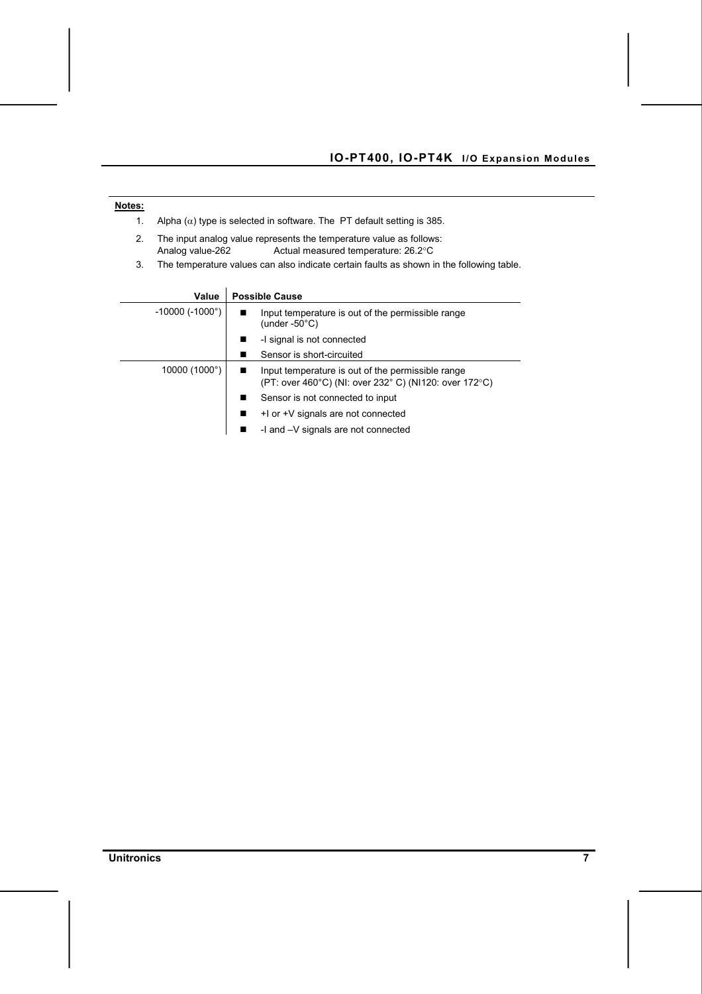| Notes: |                                                                                                                                |  |                                                                                                            |  |  |
|--------|--------------------------------------------------------------------------------------------------------------------------------|--|------------------------------------------------------------------------------------------------------------|--|--|
| 1.     | Alpha $(\alpha)$ type is selected in software. The PT default setting is 385.                                                  |  |                                                                                                            |  |  |
| 2.     | The input analog value represents the temperature value as follows:<br>Actual measured temperature: 26.2°C<br>Analog value-262 |  |                                                                                                            |  |  |
| 3.     | The temperature values can also indicate certain faults as shown in the following table.                                       |  |                                                                                                            |  |  |
|        |                                                                                                                                |  |                                                                                                            |  |  |
|        | <b>Possible Cause</b><br>Value                                                                                                 |  |                                                                                                            |  |  |
|        | $-10000$ ( $-1000^\circ$ )                                                                                                     |  | Input temperature is out of the permissible range<br>(under $-50^{\circ}$ C)                               |  |  |
|        |                                                                                                                                |  | -I signal is not connected                                                                                 |  |  |
|        |                                                                                                                                |  | Sensor is short-circuited                                                                                  |  |  |
|        | 10000 (1000°)                                                                                                                  |  | Input temperature is out of the permissible range<br>(PT: over 460°C) (NI: over 232°C) (NI120: over 172°C) |  |  |
|        |                                                                                                                                |  | Sensor is not connected to input                                                                           |  |  |
|        |                                                                                                                                |  | +1 or +V signals are not connected                                                                         |  |  |
|        |                                                                                                                                |  | -I and -V signals are not connected                                                                        |  |  |